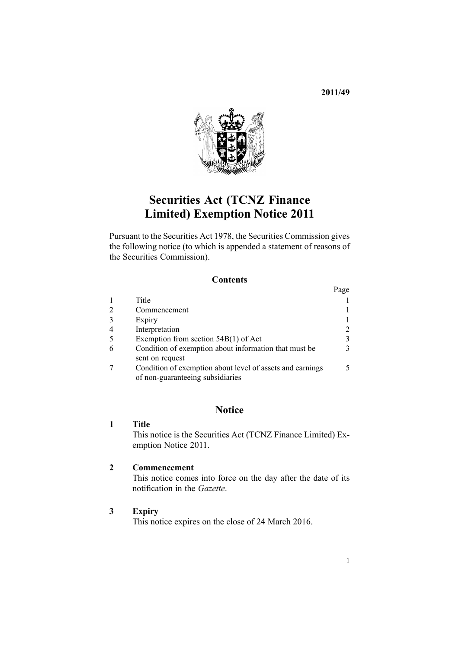**2011/49**



# **Securities Act (TCNZ Finance Limited) Exemption Notice 2011**

Pursuant to the [Securities](http://www.legislation.govt.nz/pdflink.aspx?id=DLM25999) Act 1978, the Securities Commission gives the following notice (to which is appended <sup>a</sup> [statement](#page-5-0) of reasons of the Securities Commission).

## **Contents**

|                                                           | Page          |
|-----------------------------------------------------------|---------------|
| Title                                                     |               |
| Commencement                                              |               |
| Expiry                                                    |               |
| Interpretation                                            | 2             |
| Exemption from section $54B(1)$ of Act                    | 3             |
| Condition of exemption about information that must be     | $\mathcal{F}$ |
| sent on request                                           |               |
| Condition of exemption about level of assets and earnings | 5             |
| of non-guaranteeing subsidiaries                          |               |

# **Notice**

## **1 Title**

This notice is the Securities Act (TCNZ Finance Limited) Exemption Notice 2011.

## **2 Commencement**

This notice comes into force on the day after the date of its notification in the *Gazette*.

## **3 Expiry**

This notice expires on the close of 24 March 2016.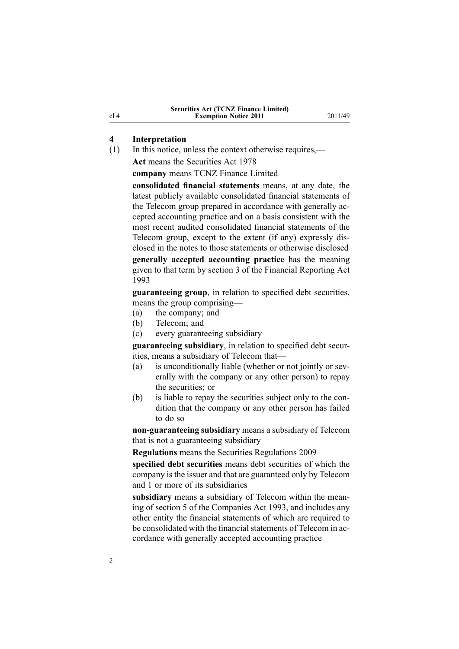### <span id="page-1-0"></span>**4 Interpretation**

(1) In this notice, unless the context otherwise requires,— **Act** means the [Securities](http://www.legislation.govt.nz/pdflink.aspx?id=DLM25999) Act 1978

**company** means TCNZ Finance Limited

**consolidated financial statements** means, at any date, the latest publicly available consolidated financial statements of the Telecom group prepared in accordance with generally accepted accounting practice and on <sup>a</sup> basis consistent with the most recent audited consolidated financial statements of the Telecom group, excep<sup>t</sup> to the extent (if any) expressly disclosed in the notes to those statements or otherwise disclosed **generally accepted accounting practice** has the meaning given to that term by [section](http://www.legislation.govt.nz/pdflink.aspx?id=DLM324886) 3 of the Financial Reporting Act 1993

**guaranteeing group**, in relation to specified debt securities, means the group comprising—

- (a) the company; and
- (b) Telecom; and
- (c) every guaranteeing subsidiary

**guaranteeing subsidiary**, in relation to specified debt securities, means <sup>a</sup> subsidiary of Telecom that—

- (a) is unconditionally liable (whether or not jointly or severally with the company or any other person) to repay the securities; or
- (b) is liable to repay the securities subject only to the condition that the company or any other person has failed to do so

**non-guaranteeing subsidiary** means <sup>a</sup> subsidiary of Telecom that is not <sup>a</sup> guaranteeing subsidiary

**Regulations** means the Securities [Regulations](http://www.legislation.govt.nz/pdflink.aspx?id=DLM2291142) 2009

**specified debt securities** means debt securities of which the company is the issuer and that are guaranteed only by Telecom and 1 or more of its subsidiaries

**subsidiary** means <sup>a</sup> subsidiary of Telecom within the meaning of [section](http://www.legislation.govt.nz/pdflink.aspx?id=DLM319999) 5 of the Companies Act 1993, and includes any other entity the financial statements of which are required to be consolidated with the financial statements of Telecom in accordance with generally accepted accounting practice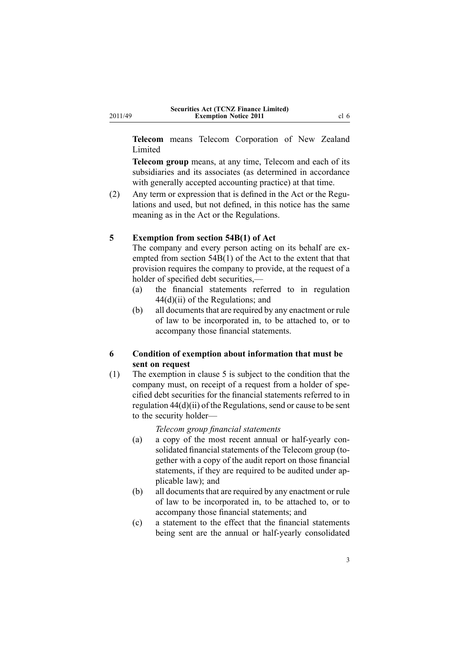<span id="page-2-0"></span>**Telecom** means Telecom Corporation of New Zealand Limited

**Telecom group** means, at any time, Telecom and each of its subsidiaries and its associates (as determined in accordance with generally accepted accounting practice) at that time.

(2) Any term or expression that is defined in the [Act](http://www.legislation.govt.nz/pdflink.aspx?id=DLM25999) or the [Regu](http://www.legislation.govt.nz/pdflink.aspx?id=DLM2291142)[lations](http://www.legislation.govt.nz/pdflink.aspx?id=DLM2291142) and used, but not defined, in this notice has the same meaning as in the Act or the Regulations.

#### **5 Exemption from section 54B(1) of Act**

The company and every person acting on its behalf are exempted from section [54B\(1\)](http://www.legislation.govt.nz/pdflink.aspx?id=DLM25999) of the Act to the extent that that provision requires the company to provide, at the reques<sup>t</sup> of <sup>a</sup> holder of specified debt securities,—

- (a) the financial statements referred to in regu[lation](http://www.legislation.govt.nz/pdflink.aspx?id=DLM2291142) [44\(d\)\(ii\)](http://www.legislation.govt.nz/pdflink.aspx?id=DLM2291142) of the Regulations; and
- (b) all documents that are required by any enactment or rule of law to be incorporated in, to be attached to, or to accompany those financial statements.

## **6 Condition of exemption about information that must be sent on request**

(1) The exemption in clause 5 is subject to the condition that the company must, on receipt of <sup>a</sup> reques<sup>t</sup> from <sup>a</sup> holder of specified debt securities for the financial statements referred to in regulation [44\(d\)\(ii\)](http://www.legislation.govt.nz/pdflink.aspx?id=DLM2287803) of the Regulations, send or cause to be sent to the security holder—

#### *Telecom group financial statements*

- (a) <sup>a</sup> copy of the most recent annual or half-yearly consolidated financial statements of the Telecom group (together with <sup>a</sup> copy of the audit repor<sup>t</sup> on those financial statements, if they are required to be audited under applicable law); and
- (b) all documents that are required by any enactment or rule of law to be incorporated in, to be attached to, or to accompany those financial statements; and
- (c) <sup>a</sup> statement to the effect that the financial statements being sent are the annual or half-yearly consolidated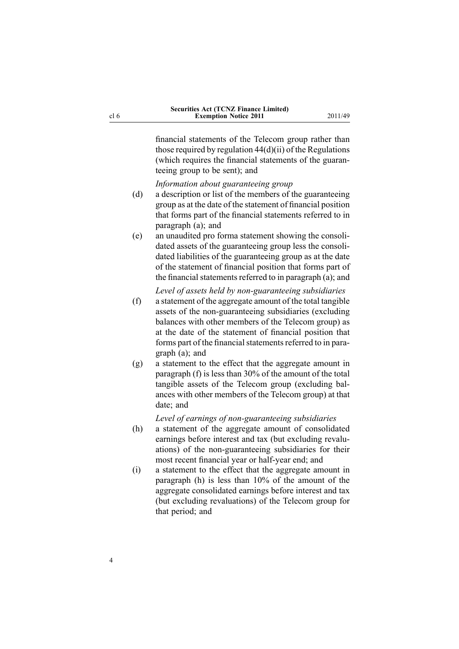financial statements of the Telecom group rather than those required by regulation  $44(d)(ii)$  of the Regulations (which requires the financial statements of the guaranteeing group to be sent); and

*Information about guaranteeing group*

- (d) <sup>a</sup> description or list of the members of the guaranteeing group as at the date of the statement of financial position that forms par<sup>t</sup> of the financial statements referred to in paragraph (a); and
- (e) an unaudited pro forma statement showing the consolidated assets of the guaranteeing group less the consolidated liabilities of the guaranteeing group as at the date of the statement of financial position that forms par<sup>t</sup> of the financial statements referred to in paragraph  $(a)$ ; and

*Level of assets held by non-guaranteeing subsidiaries*

- (f) <sup>a</sup> statement of the aggregate amount of the total tangible assets of the non-guaranteeing subsidiaries (excluding balances with other members of the Telecom group) as at the date of the statement of financial position that forms part of the financial statements referred to in paragraph (a); and
- (g) <sup>a</sup> statement to the effect that the aggregate amount in paragraph (f) is less than 30% of the amount of the total tangible assets of the Telecom group (excluding balances with other members of the Telecom group) at that date; and

*Level of earnings of non-guaranteeing subsidiaries*

- (h) <sup>a</sup> statement of the aggregate amount of consolidated earnings before interest and tax (but excluding revaluations) of the non-guaranteeing subsidiaries for their most recent financial year or half-year end; and
- (i) <sup>a</sup> statement to the effect that the aggregate amount in paragraph (h) is less than 10% of the amount of the aggregate consolidated earnings before interest and tax (but excluding revaluations) of the Telecom group for that period; and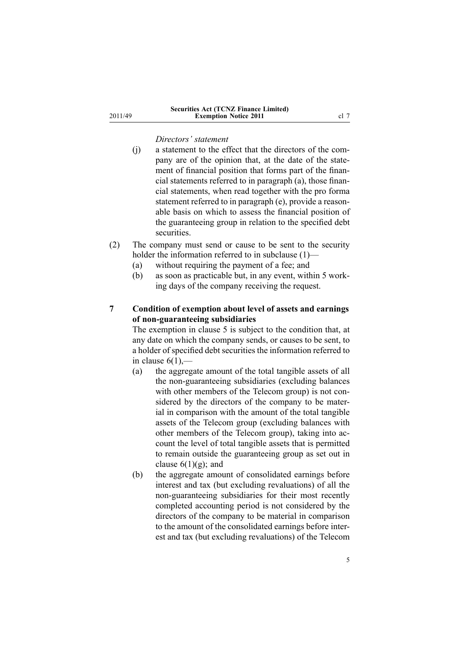#### *Directors' statement*

<span id="page-4-0"></span>2011/49

- (j) <sup>a</sup> statement to the effect that the directors of the company are of the opinion that, at the date of the statement of financial position that forms par<sup>t</sup> of the financial statements referred to in paragraph (a), those financial statements, when read together with the pro forma statement referred to in paragraph (e), provide <sup>a</sup> reasonable basis on which to assess the financial position of the guaranteeing group in relation to the specified debt securities.
- (2) The company must send or cause to be sent to the security holder the information referred to in subclause (1)—
	- (a) without requiring the paymen<sup>t</sup> of <sup>a</sup> fee; and
	- (b) as soon as practicable but, in any event, within 5 working days of the company receiving the request.

# **7 Condition of exemption about level of assets and earnings of non-guaranteeing subsidiaries**

The exemption in [clause](#page-2-0) 5 is subject to the condition that, at any date on which the company sends, or causes to be sent, to <sup>a</sup> holder of specified debt securities the information referred to in [clause](#page-2-0)  $6(1)$ ,—

- (a) the aggregate amount of the total tangible assets of all the non-guaranteeing subsidiaries (excluding balances with other members of the Telecom group) is not considered by the directors of the company to be material in comparison with the amount of the total tangible assets of the Telecom group (excluding balances with other members of the Telecom group), taking into account the level of total tangible assets that is permitted to remain outside the guaranteeing group as set out in clause  $6(1)(g)$ ; and
- (b) the aggregate amount of consolidated earnings before interest and tax (but excluding revaluations) of all the non-guaranteeing subsidiaries for their most recently completed accounting period is not considered by the directors of the company to be material in comparison to the amount of the consolidated earnings before interest and tax (but excluding revaluations) of the Telecom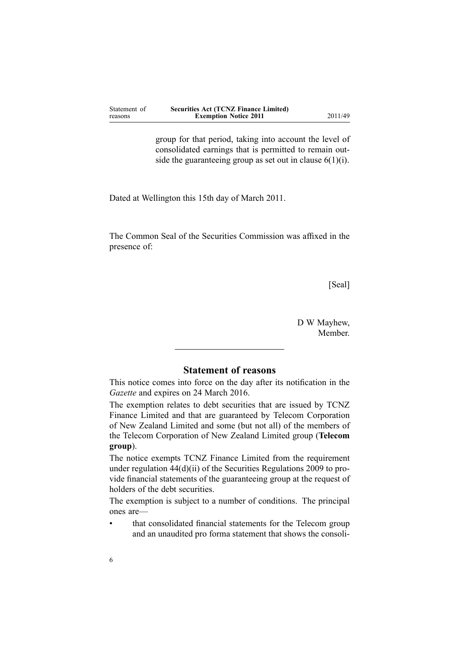<span id="page-5-0"></span>

| Statement of | <b>Securities Act (TCNZ Finance Limited)</b> |
|--------------|----------------------------------------------|
| reasons      | <b>Exemption Notice 2011</b>                 |

group for that period, taking into account the level of consolidated earnings that is permitted to remain outside the guaranteeing group as set out in clause  $6(1)(i)$ .

Dated at Wellington this 15th day of March 2011.

The Common Seal of the Securities Commission was affixed in the presence of:

[Seal]

**Exemption Notice 2011** 2011/49

D W Mayhew, Member.

# **Statement of reasons**

This notice comes into force on the day after its notification in the *Gazette* and expires on 24 March 2016.

The exemption relates to debt securities that are issued by TCNZ Finance Limited and that are guaranteed by Telecom Corporation of New Zealand Limited and some (but not all) of the members of the Telecom Corporation of New Zealand Limited group (**Telecom group**).

The notice exempts TCNZ Finance Limited from the requirement under regulation [44\(d\)\(ii\)](http://www.legislation.govt.nz/pdflink.aspx?id=DLM2287803) of the Securities Regulations 2009 to provide financial statements of the guaranteeing group at the reques<sup>t</sup> of holders of the debt securities.

The exemption is subject to <sup>a</sup> number of conditions. The principal ones are—

• that consolidated financial statements for the Telecom group and an unaudited pro forma statement that shows the consoli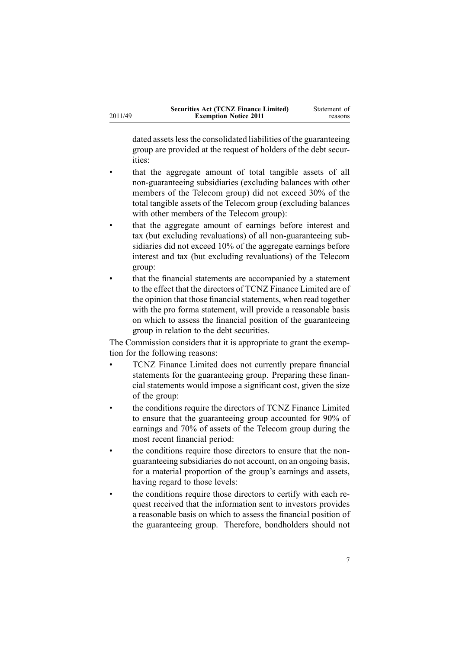dated assets less the consolidated liabilities of the guaranteeing group are provided at the reques<sup>t</sup> of holders of the debt securities:

- • that the aggregate amount of total tangible assets of all non-guaranteeing subsidiaries (excluding balances with other members of the Telecom group) did not exceed 30% of the total tangible assets of the Telecom group (excluding balances with other members of the Telecom group):
- • that the aggregate amount of earnings before interest and tax (but excluding revaluations) of all non-guaranteeing subsidiaries did not exceed 10% of the aggregate earnings before interest and tax (but excluding revaluations) of the Telecom group:
- • that the financial statements are accompanied by <sup>a</sup> statement to the effect that the directors of TCNZ Finance Limited are of the opinion that those financial statements, when read together with the pro forma statement, will provide a reasonable basis on which to assess the financial position of the guaranteeing group in relation to the debt securities.

The Commission considers that it is appropriate to gran<sup>t</sup> the exemption for the following reasons:

- • TCNZ Finance Limited does not currently prepare financial statements for the guaranteeing group. Preparing these financial statements would impose <sup>a</sup> significant cost, given the size of the group:
- • the conditions require the directors of TCNZ Finance Limited to ensure that the guaranteeing group accounted for 90% of earnings and 70% of assets of the Telecom group during the most recent financial period:
- • the conditions require those directors to ensure that the nonguaranteeing subsidiaries do not account, on an ongoing basis, for <sup>a</sup> material proportion of the group's earnings and assets, having regard to those levels:
- • the conditions require those directors to certify with each reques<sup>t</sup> received that the information sent to investors provides <sup>a</sup> reasonable basis on which to assess the financial position of the guaranteeing group. Therefore, bondholders should not